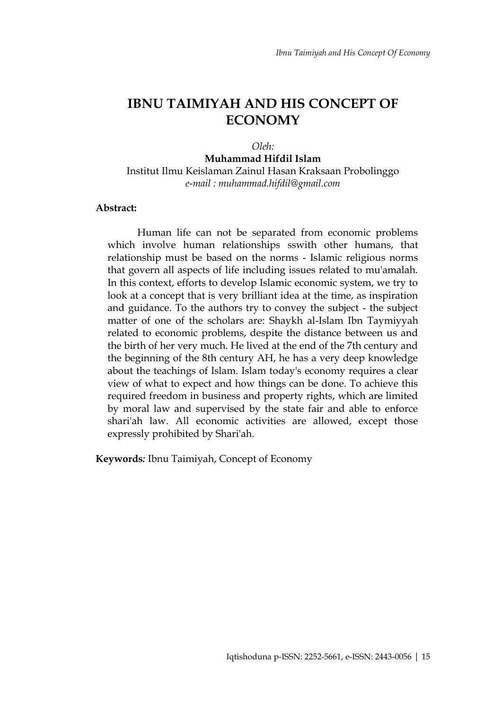# **IBNU TAIMIYAH AND HIS CONCEPT OF ECONOMY**

*Oleh:* **Muhammad Hifdil Islam** Institut Ilmu Keislaman Zainul Hasan Kraksaan Probolinggo *e-mail : muhammad.hifdil@gmail.com*

#### **Abstract:**

Human life can not be separated from economic problems which involve human relationships sswith other humans, that relationship must be based on the norms - Islamic religious norms that govern all aspects of life including issues related to mu'amalah. In this context, efforts to develop Islamic economic system, we try to look at a concept that is very brilliant idea at the time, as inspiration and guidance. To the authors try to convey the subject - the subject matter of one of the scholars are: Shaykh al-Islam Ibn Taymiyyah related to economic problems, despite the distance between us and the birth of her very much. He lived at the end of the 7th century and the beginning of the 8th century AH, he has a very deep knowledge about the teachings of Islam. Islam today's economy requires a clear view of what to expect and how things can be done. To achieve this required freedom in business and property rights, which are limited by moral law and supervised by the state fair and able to enforce shari'ah law. All economic activities are allowed, except those expressly prohibited by Shari'ah.

**Keywords***:* Ibnu Taimiyah, Concept of Economy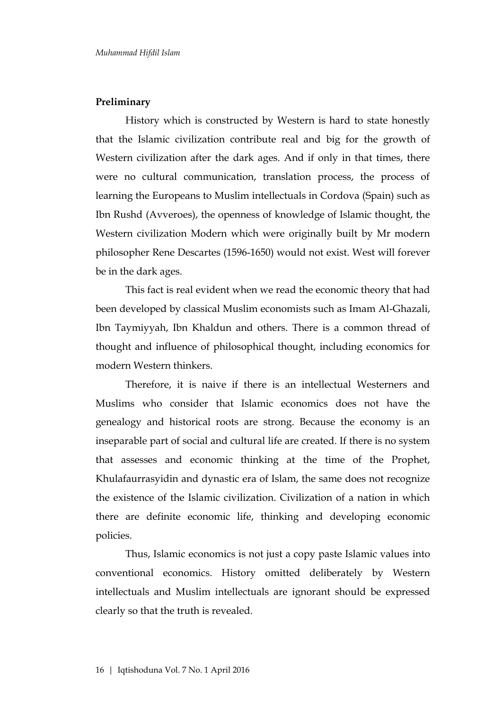## **Preliminary**

History which is constructed by Western is hard to state honestly that the Islamic civilization contribute real and big for the growth of Western civilization after the dark ages. And if only in that times, there were no cultural communication, translation process, the process of learning the Europeans to Muslim intellectuals in Cordova (Spain) such as Ibn Rushd (Avveroes), the openness of knowledge of Islamic thought, the Western civilization Modern which were originally built by Mr modern philosopher Rene Descartes (1596-1650) would not exist. West will forever be in the dark ages.

This fact is real evident when we read the economic theory that had been developed by classical Muslim economists such as Imam Al-Ghazali, Ibn Taymiyyah, Ibn Khaldun and others. There is a common thread of thought and influence of philosophical thought, including economics for modern Western thinkers.

Therefore, it is naive if there is an intellectual Westerners and Muslims who consider that Islamic economics does not have the genealogy and historical roots are strong. Because the economy is an inseparable part of social and cultural life are created. If there is no system that assesses and economic thinking at the time of the Prophet, Khulafaurrasyidin and dynastic era of Islam, the same does not recognize the existence of the Islamic civilization. Civilization of a nation in which there are definite economic life, thinking and developing economic policies.

Thus, Islamic economics is not just a copy paste Islamic values into conventional economics. History omitted deliberately by Western intellectuals and Muslim intellectuals are ignorant should be expressed clearly so that the truth is revealed.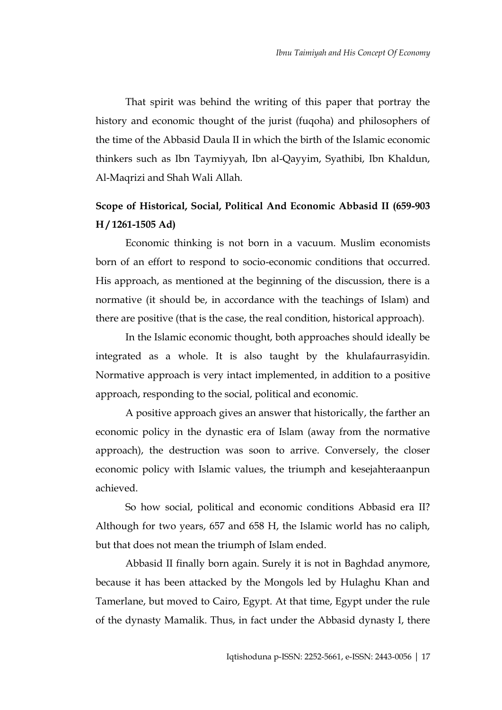That spirit was behind the writing of this paper that portray the history and economic thought of the jurist (fuqoha) and philosophers of the time of the Abbasid Daula II in which the birth of the Islamic economic thinkers such as Ibn Taymiyyah, Ibn al-Qayyim, Syathibi, Ibn Khaldun, Al-Maqrizi and Shah Wali Allah.

## **Scope of Historical, Social, Political And Economic Abbasid II (659-903 H / 1261-1505 Ad)**

Economic thinking is not born in a vacuum. Muslim economists born of an effort to respond to socio-economic conditions that occurred. His approach, as mentioned at the beginning of the discussion, there is a normative (it should be, in accordance with the teachings of Islam) and there are positive (that is the case, the real condition, historical approach).

In the Islamic economic thought, both approaches should ideally be integrated as a whole. It is also taught by the khulafaurrasyidin. Normative approach is very intact implemented, in addition to a positive approach, responding to the social, political and economic.

A positive approach gives an answer that historically, the farther an economic policy in the dynastic era of Islam (away from the normative approach), the destruction was soon to arrive. Conversely, the closer economic policy with Islamic values, the triumph and kesejahteraanpun achieved.

So how social, political and economic conditions Abbasid era II? Although for two years, 657 and 658 H, the Islamic world has no caliph, but that does not mean the triumph of Islam ended.

Abbasid II finally born again. Surely it is not in Baghdad anymore, because it has been attacked by the Mongols led by Hulaghu Khan and Tamerlane, but moved to Cairo, Egypt. At that time, Egypt under the rule of the dynasty Mamalik. Thus, in fact under the Abbasid dynasty I, there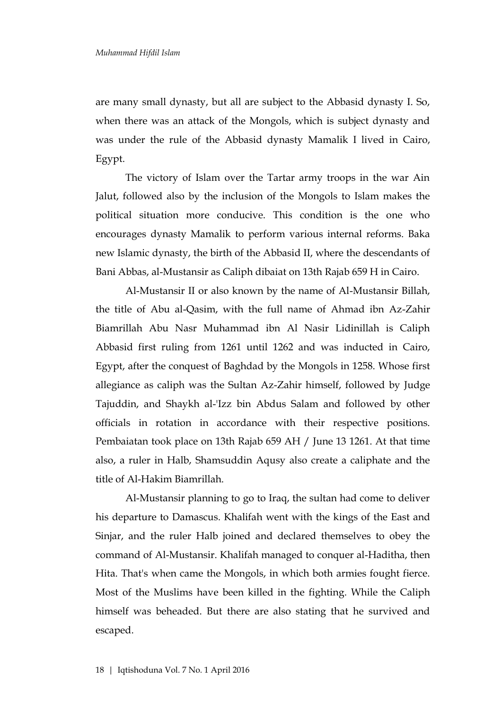are many small dynasty, but all are subject to the Abbasid dynasty I. So, when there was an attack of the Mongols, which is subject dynasty and was under the rule of the Abbasid dynasty Mamalik I lived in Cairo, Egypt.

The victory of Islam over the Tartar army troops in the war Ain Jalut, followed also by the inclusion of the Mongols to Islam makes the political situation more conducive. This condition is the one who encourages dynasty Mamalik to perform various internal reforms. Baka new Islamic dynasty, the birth of the Abbasid II, where the descendants of Bani Abbas, al-Mustansir as Caliph dibaiat on 13th Rajab 659 H in Cairo.

Al-Mustansir II or also known by the name of Al-Mustansir Billah, the title of Abu al-Qasim, with the full name of Ahmad ibn Az-Zahir Biamrillah Abu Nasr Muhammad ibn Al Nasir Lidinillah is Caliph Abbasid first ruling from 1261 until 1262 and was inducted in Cairo, Egypt, after the conquest of Baghdad by the Mongols in 1258. Whose first allegiance as caliph was the Sultan Az-Zahir himself, followed by Judge Tajuddin, and Shaykh al-'Izz bin Abdus Salam and followed by other officials in rotation in accordance with their respective positions. Pembaiatan took place on 13th Rajab 659 AH / June 13 1261. At that time also, a ruler in Halb, Shamsuddin Aqusy also create a caliphate and the title of Al-Hakim Biamrillah.

Al-Mustansir planning to go to Iraq, the sultan had come to deliver his departure to Damascus. Khalifah went with the kings of the East and Sinjar, and the ruler Halb joined and declared themselves to obey the command of Al-Mustansir. Khalifah managed to conquer al-Haditha, then Hita. That's when came the Mongols, in which both armies fought fierce. Most of the Muslims have been killed in the fighting. While the Caliph himself was beheaded. But there are also stating that he survived and escaped.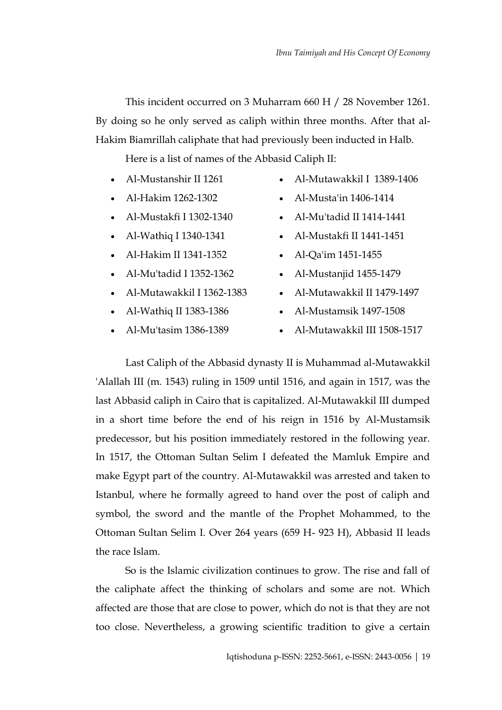This incident occurred on 3 Muharram 660 H / 28 November 1261. By doing so he only served as caliph within three months. After that al-Hakim Biamrillah caliphate that had previously been inducted in Halb.

Here is a list of names of the Abbasid Caliph II:

- [Al-Mustanshir II](http://id.wikipedia.org/wiki/Al-Mustanshir_II) [1261](http://id.wikipedia.org/wiki/1261)
	- [Al-Mutawakkil I](http://id.wikipedia.org/w/index.php?title=Al-Mutawakkil_I&action=edit&redlink=1) [1389](http://id.wikipedia.org/wiki/1389)[-1406](http://id.wikipedia.org/wiki/1406)
- [Al-Hakim](http://id.wikipedia.org/w/index.php?title=Al-Hakim&action=edit&redlink=1) [1262-](http://id.wikipedia.org/wiki/1262)[1302](http://id.wikipedia.org/wiki/1302)
- [Al-Mustakfi I](http://id.wikipedia.org/w/index.php?title=Al-Mustakfi_I&action=edit&redlink=1) [1302](http://id.wikipedia.org/wiki/1302)[-1340](http://id.wikipedia.org/wiki/1340)
- [Al-Wathiq I](http://id.wikipedia.org/w/index.php?title=Al-Wathiq_I&action=edit&redlink=1) [1340-](http://id.wikipedia.org/wiki/1340)[1341](http://id.wikipedia.org/wiki/1341)
- [Al-Hakim II](http://id.wikipedia.org/w/index.php?title=Al-Hakim_II&action=edit&redlink=1) [1341](http://id.wikipedia.org/wiki/1341)[-1352](http://id.wikipedia.org/wiki/1352)
- [Al-Mu'tadid I](http://id.wikipedia.org/w/index.php?title=Al-Mu%27tadid_I&action=edit&redlink=1) [1352](http://id.wikipedia.org/wiki/1352)[-1362](http://id.wikipedia.org/wiki/1362)
- [Al-Mutawakkil I](http://id.wikipedia.org/w/index.php?title=Al-Mutawakkil_I&action=edit&redlink=1) [1362](http://id.wikipedia.org/wiki/1362)[-1383](http://id.wikipedia.org/wiki/1383)
- [Al-Wathiq II](http://id.wikipedia.org/w/index.php?title=Al-Wathiq_II&action=edit&redlink=1) [1383](http://id.wikipedia.org/wiki/1383)[-1386](http://id.wikipedia.org/wiki/1386)
- [Al-Mu'tasim](http://id.wikipedia.org/w/index.php?title=Al-Mu%27tasim_dari_Kairo&action=edit&redlink=1) [1386-](http://id.wikipedia.org/wiki/1386)[1389](http://id.wikipedia.org/wiki/1389)
- [Al-Musta'in](http://id.wikipedia.org/w/index.php?title=Al-Musta%27in_dari_Kairo&action=edit&redlink=1) [1406](http://id.wikipedia.org/wiki/1406)[-1414](http://id.wikipedia.org/wiki/1414)
- [Al-Mu'tadid II](http://id.wikipedia.org/w/index.php?title=Al-Mu%27tadid_II&action=edit&redlink=1) [1414](http://id.wikipedia.org/wiki/1414)[-1441](http://id.wikipedia.org/wiki/1441)
- [Al-Mustakfi II](http://id.wikipedia.org/w/index.php?title=Al-Mustakfi_II&action=edit&redlink=1) [1441](http://id.wikipedia.org/wiki/1441)[-1451](http://id.wikipedia.org/wiki/1451)
- [Al-Qa'im](http://id.wikipedia.org/w/index.php?title=Al-Qa%27im_dari_Kairo&action=edit&redlink=1) [1451](http://id.wikipedia.org/wiki/1451)[-1455](http://id.wikipedia.org/wiki/1455)
- [Al-Mustanjid](http://id.wikipedia.org/w/index.php?title=Al-Mustanjid_dari_Kairo&action=edit&redlink=1) [1455-](http://id.wikipedia.org/wiki/1455)[1479](http://id.wikipedia.org/wiki/1479)
- [Al-Mutawakkil II](http://id.wikipedia.org/w/index.php?title=Al-Mutawakkil_II&action=edit&redlink=1) [1479](http://id.wikipedia.org/wiki/1479)[-1497](http://id.wikipedia.org/wiki/1497)
- [Al-Mustamsik](http://id.wikipedia.org/w/index.php?title=Al-Mustamsik&action=edit&redlink=1) [1497](http://id.wikipedia.org/wiki/1497)[-1508](http://id.wikipedia.org/wiki/1508)
- [Al-Mutawakkil III](http://id.wikipedia.org/wiki/Al-Mutawakkil_III) [1508](http://id.wikipedia.org/wiki/1508)[-1517](http://id.wikipedia.org/wiki/1517)

Last Caliph of the Abbasid dynasty II is Muhammad al-Mutawakkil 'Alallah III (m. 1543) ruling in 1509 until 1516, and again in 1517, was the last Abbasid caliph in Cairo that is capitalized. Al-Mutawakkil III dumped in a short time before the end of his reign in 1516 by Al-Mustamsik predecessor, but his position immediately restored in the following year. In 1517, the Ottoman Sultan Selim I defeated the Mamluk Empire and make Egypt part of the country. Al-Mutawakkil was arrested and taken to Istanbul, where he formally agreed to hand over the post of caliph and symbol, the sword and the mantle of the Prophet Mohammed, to the Ottoman Sultan Selim I. Over 264 years (659 H- 923 H), Abbasid II leads the race Islam.

So is the Islamic civilization continues to grow. The rise and fall of the caliphate affect the thinking of scholars and some are not. Which affected are those that are close to power, which do not is that they are not too close. Nevertheless, a growing scientific tradition to give a certain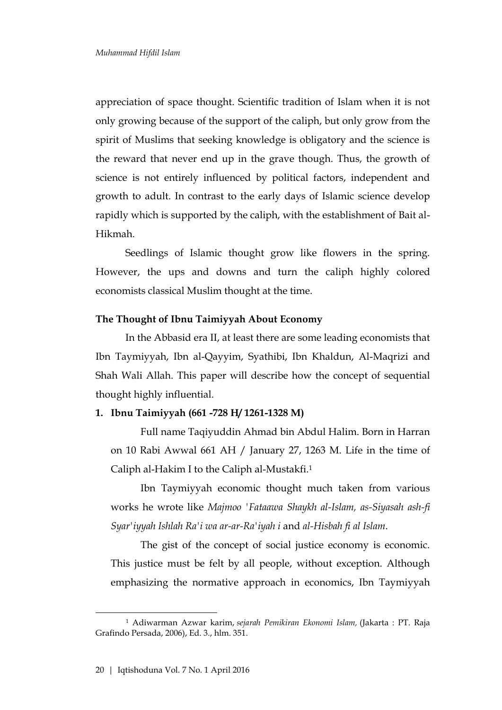appreciation of space thought. Scientific tradition of Islam when it is not only growing because of the support of the caliph, but only grow from the spirit of Muslims that seeking knowledge is obligatory and the science is the reward that never end up in the grave though. Thus, the growth of science is not entirely influenced by political factors, independent and growth to adult. In contrast to the early days of Islamic science develop rapidly which is supported by the caliph, with the establishment of Bait al-Hikmah.

Seedlings of Islamic thought grow like flowers in the spring. However, the ups and downs and turn the caliph highly colored economists classical Muslim thought at the time.

#### **The Thought of Ibnu Taimiyyah About Economy**

In the Abbasid era II, at least there are some leading economists that Ibn Taymiyyah, Ibn al-Qayyim, Syathibi, Ibn Khaldun, Al-Maqrizi and Shah Wali Allah. This paper will describe how the concept of sequential thought highly influential.

## **1. Ibnu Taimiyyah (661 -728 H/ 1261-1328 M)**

Full name Taqiyuddin Ahmad bin Abdul Halim. Born in Harran on 10 Rabi Awwal 661 AH / January 27, 1263 M. Life in the time of Caliph al-Hakim I to the Caliph al-Mustakfi.<sup>1</sup>

Ibn Taymiyyah economic thought much taken from various works he wrote like *Majmoo 'Fataawa Shaykh al-Islam, as-Siyasah ash-fi Syar'iyyah Ishlah Ra'i wa ar-ar-Ra'iyah i* and *al-Hisbah fi al Islam*.

The gist of the concept of social justice economy is economic. This justice must be felt by all people, without exception. Although emphasizing the normative approach in economics, Ibn Taymiyyah

<sup>1</sup> Adiwarman Azwar karim, *sejarah Pemikiran Ekonomi Islam,* (Jakarta : PT. Raja Grafindo Persada, 2006), Ed. 3., hlm. 351.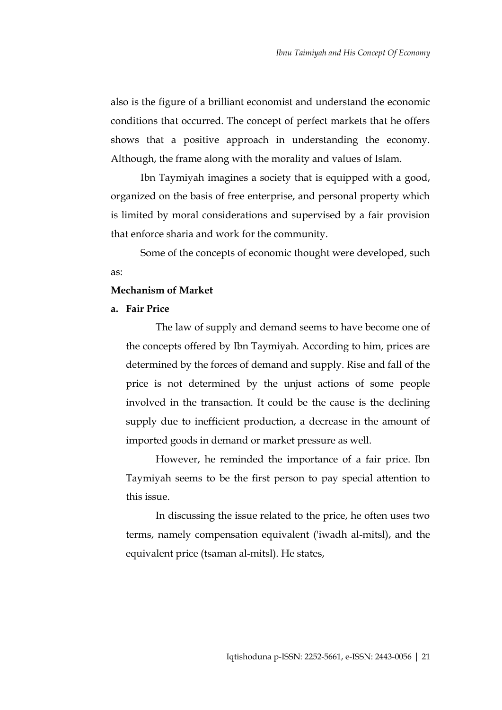also is the figure of a brilliant economist and understand the economic conditions that occurred. The concept of perfect markets that he offers shows that a positive approach in understanding the economy. Although, the frame along with the morality and values of Islam.

Ibn Taymiyah imagines a society that is equipped with a good, organized on the basis of free enterprise, and personal property which is limited by moral considerations and supervised by a fair provision that enforce sharia and work for the community.

Some of the concepts of economic thought were developed, such as:

## **Mechanism of Market**

## **a. Fair Price**

The law of supply and demand seems to have become one of the concepts offered by Ibn Taymiyah. According to him, prices are determined by the forces of demand and supply. Rise and fall of the price is not determined by the unjust actions of some people involved in the transaction. It could be the cause is the declining supply due to inefficient production, a decrease in the amount of imported goods in demand or market pressure as well.

However, he reminded the importance of a fair price. Ibn Taymiyah seems to be the first person to pay special attention to this issue.

In discussing the issue related to the price, he often uses two terms, namely compensation equivalent ('iwadh al-mitsl), and the equivalent price (tsaman al-mitsl). He states,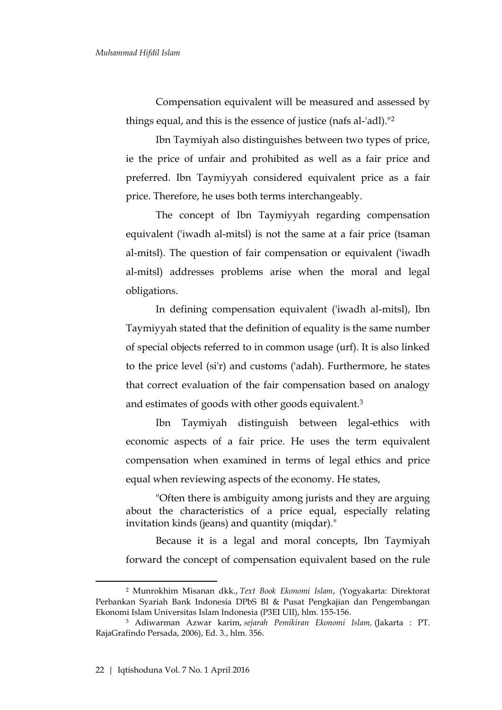Compensation equivalent will be measured and assessed by things equal, and this is the essence of justice (nafs al-'adl)."<sup>2</sup>

Ibn Taymiyah also distinguishes between two types of price, ie the price of unfair and prohibited as well as a fair price and preferred. Ibn Taymiyyah considered equivalent price as a fair price. Therefore, he uses both terms interchangeably.

The concept of Ibn Taymiyyah regarding compensation equivalent ('iwadh al-mitsl) is not the same at a fair price (tsaman al-mitsl). The question of fair compensation or equivalent ('iwadh al-mitsl) addresses problems arise when the moral and legal obligations.

In defining compensation equivalent ('iwadh al-mitsl), Ibn Taymiyyah stated that the definition of equality is the same number of special objects referred to in common usage (urf). It is also linked to the price level (si'r) and customs ('adah). Furthermore, he states that correct evaluation of the fair compensation based on analogy and estimates of goods with other goods equivalent.<sup>3</sup>

Ibn Taymiyah distinguish between legal-ethics with economic aspects of a fair price. He uses the term equivalent compensation when examined in terms of legal ethics and price equal when reviewing aspects of the economy. He states,

"Often there is ambiguity among jurists and they are arguing about the characteristics of a price equal, especially relating invitation kinds (jeans) and quantity (miqdar)."

Because it is a legal and moral concepts, Ibn Taymiyah forward the concept of compensation equivalent based on the rule

<sup>2</sup> Munrokhim Misanan dkk., *Text Book Ekonomi Islam*, (Yogyakarta: Direktorat Perbankan Syariah Bank Indonesia DPbS BI & Pusat Pengkajian dan Pengembangan Ekonomi Islam Universitas Islam Indonesia (P3EI UII), hlm. 155-156.

<sup>3</sup> Adiwarman Azwar karim, *sejarah Pemikiran Ekonomi Islam,* (Jakarta : PT. RajaGrafindo Persada, 2006), Ed. 3., hlm. 356.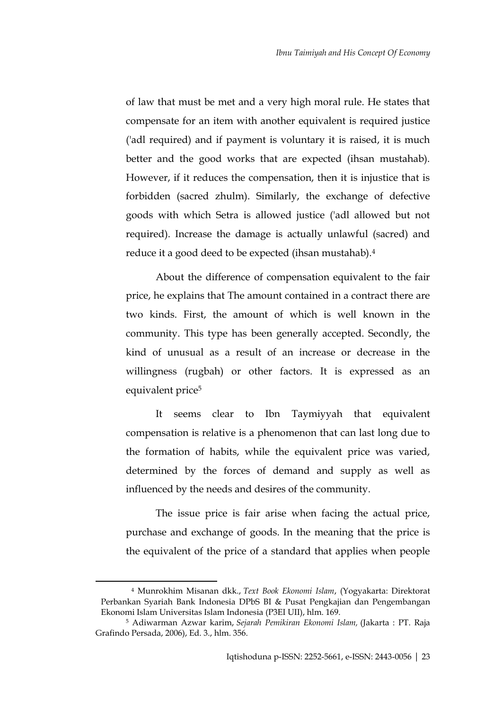of law that must be met and a very high moral rule. He states that compensate for an item with another equivalent is required justice ('adl required) and if payment is voluntary it is raised, it is much better and the good works that are expected (ihsan mustahab). However, if it reduces the compensation, then it is injustice that is forbidden (sacred zhulm). Similarly, the exchange of defective goods with which Setra is allowed justice ('adl allowed but not required). Increase the damage is actually unlawful (sacred) and reduce it a good deed to be expected (ihsan mustahab).<sup>4</sup>

About the difference of compensation equivalent to the fair price, he explains that The amount contained in a contract there are two kinds. First, the amount of which is well known in the community. This type has been generally accepted. Secondly, the kind of unusual as a result of an increase or decrease in the willingness (rugbah) or other factors. It is expressed as an equivalent price<sup>5</sup>

It seems clear to Ibn Taymiyyah that equivalent compensation is relative is a phenomenon that can last long due to the formation of habits, while the equivalent price was varied, determined by the forces of demand and supply as well as influenced by the needs and desires of the community.

The issue price is fair arise when facing the actual price, purchase and exchange of goods. In the meaning that the price is the equivalent of the price of a standard that applies when people

<sup>4</sup> Munrokhim Misanan dkk., *Text Book Ekonomi Islam*, (Yogyakarta: Direktorat Perbankan Syariah Bank Indonesia DPbS BI & Pusat Pengkajian dan Pengembangan Ekonomi Islam Universitas Islam Indonesia (P3EI UII), hlm. 169.

<sup>5</sup> Adiwarman Azwar karim, *Sejarah Pemikiran Ekonomi Islam,* (Jakarta : PT. Raja Grafindo Persada, 2006), Ed. 3., hlm. 356.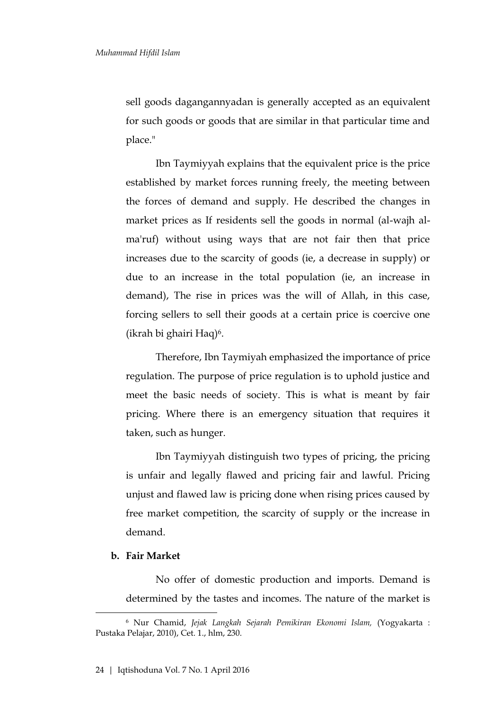sell goods dagangannyadan is generally accepted as an equivalent for such goods or goods that are similar in that particular time and place."

Ibn Taymiyyah explains that the equivalent price is the price established by market forces running freely, the meeting between the forces of demand and supply. He described the changes in market prices as If residents sell the goods in normal (al-wajh alma'ruf) without using ways that are not fair then that price increases due to the scarcity of goods (ie, a decrease in supply) or due to an increase in the total population (ie, an increase in demand), The rise in prices was the will of Allah, in this case, forcing sellers to sell their goods at a certain price is coercive one (ikrah bi ghairi Haq)6.

Therefore, Ibn Taymiyah emphasized the importance of price regulation. The purpose of price regulation is to uphold justice and meet the basic needs of society. This is what is meant by fair pricing. Where there is an emergency situation that requires it taken, such as hunger.

Ibn Taymiyyah distinguish two types of pricing, the pricing is unfair and legally flawed and pricing fair and lawful. Pricing unjust and flawed law is pricing done when rising prices caused by free market competition, the scarcity of supply or the increase in demand.

#### **b. Fair Market**

 $\overline{a}$ 

No offer of domestic production and imports. Demand is determined by the tastes and incomes. The nature of the market is

<sup>6</sup> Nur Chamid, *Jejak Langkah Sejarah Pemikiran Ekonomi Islam,* (Yogyakarta : Pustaka Pelajar, 2010), Cet. 1., hlm, 230.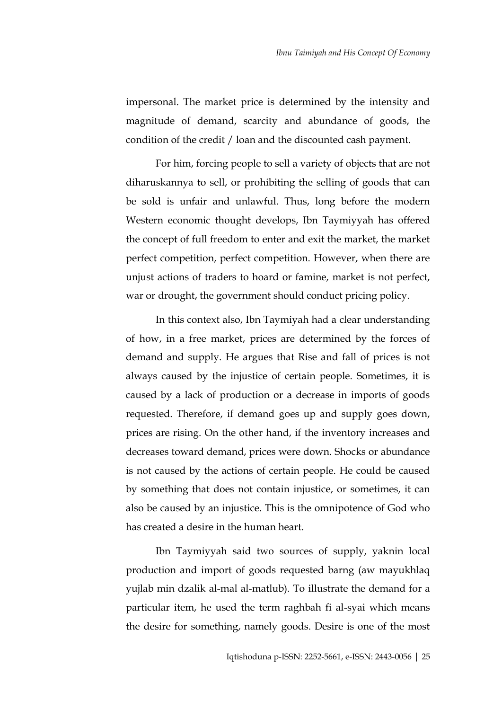impersonal. The market price is determined by the intensity and magnitude of demand, scarcity and abundance of goods, the condition of the credit / loan and the discounted cash payment.

For him, forcing people to sell a variety of objects that are not diharuskannya to sell, or prohibiting the selling of goods that can be sold is unfair and unlawful. Thus, long before the modern Western economic thought develops, Ibn Taymiyyah has offered the concept of full freedom to enter and exit the market, the market perfect competition, perfect competition. However, when there are unjust actions of traders to hoard or famine, market is not perfect, war or drought, the government should conduct pricing policy.

In this context also, Ibn Taymiyah had a clear understanding of how, in a free market, prices are determined by the forces of demand and supply. He argues that Rise and fall of prices is not always caused by the injustice of certain people. Sometimes, it is caused by a lack of production or a decrease in imports of goods requested. Therefore, if demand goes up and supply goes down, prices are rising. On the other hand, if the inventory increases and decreases toward demand, prices were down. Shocks or abundance is not caused by the actions of certain people. He could be caused by something that does not contain injustice, or sometimes, it can also be caused by an injustice. This is the omnipotence of God who has created a desire in the human heart.

Ibn Taymiyyah said two sources of supply, yaknin local production and import of goods requested barng (aw mayukhlaq yujlab min dzalik al-mal al-matlub). To illustrate the demand for a particular item, he used the term raghbah fi al-syai which means the desire for something, namely goods. Desire is one of the most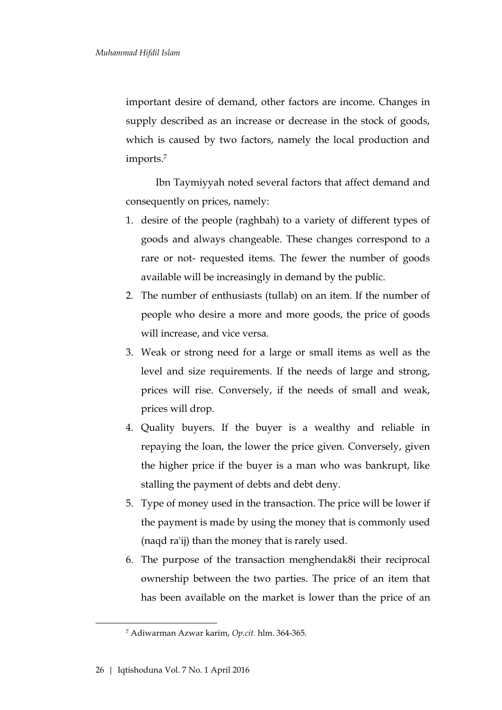important desire of demand, other factors are income. Changes in supply described as an increase or decrease in the stock of goods, which is caused by two factors, namely the local production and imports.<sup>7</sup>

Ibn Taymiyyah noted several factors that affect demand and consequently on prices, namely:

- 1. desire of the people (raghbah) to a variety of different types of goods and always changeable. These changes correspond to a rare or not- requested items. The fewer the number of goods available will be increasingly in demand by the public.
- 2. The number of enthusiasts (tullab) on an item. If the number of people who desire a more and more goods, the price of goods will increase, and vice versa.
- 3. Weak or strong need for a large or small items as well as the level and size requirements. If the needs of large and strong, prices will rise. Conversely, if the needs of small and weak, prices will drop.
- 4. Quality buyers. If the buyer is a wealthy and reliable in repaying the loan, the lower the price given. Conversely, given the higher price if the buyer is a man who was bankrupt, like stalling the payment of debts and debt deny.
- 5. Type of money used in the transaction. The price will be lower if the payment is made by using the money that is commonly used (naqd ra'ij) than the money that is rarely used.
- 6. The purpose of the transaction menghendak8i their reciprocal ownership between the two parties. The price of an item that has been available on the market is lower than the price of an

<sup>7</sup> Adiwarman Azwar karim, *Op.cit.* hlm. 364-365.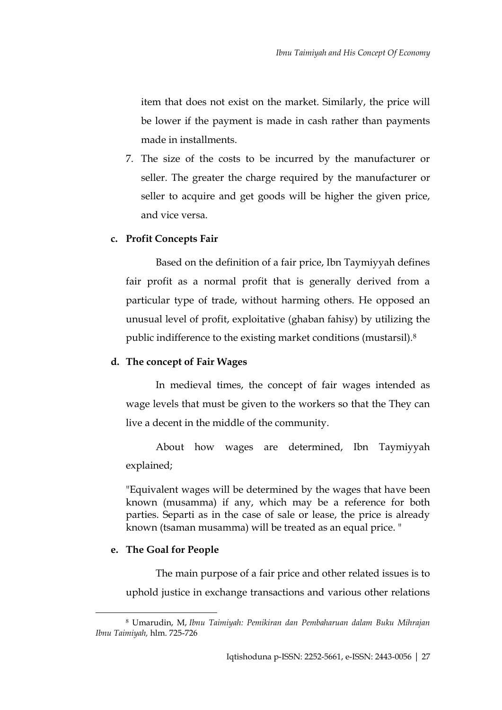item that does not exist on the market. Similarly, the price will be lower if the payment is made in cash rather than payments made in installments.

7. The size of the costs to be incurred by the manufacturer or seller. The greater the charge required by the manufacturer or seller to acquire and get goods will be higher the given price, and vice versa.

## **c. Profit Concepts Fair**

Based on the definition of a fair price, Ibn Taymiyyah defines fair profit as a normal profit that is generally derived from a particular type of trade, without harming others. He opposed an unusual level of profit, exploitative (ghaban fahisy) by utilizing the public indifference to the existing market conditions (mustarsil).<sup>8</sup>

## **d. The concept of Fair Wages**

In medieval times, the concept of fair wages intended as wage levels that must be given to the workers so that the They can live a decent in the middle of the community.

About how wages are determined, Ibn Taymiyyah explained;

"Equivalent wages will be determined by the wages that have been known (musamma) if any, which may be a reference for both parties. Separti as in the case of sale or lease, the price is already known (tsaman musamma) will be treated as an equal price. "

## **e. The Goal for People**

 $\overline{a}$ 

The main purpose of a fair price and other related issues is to uphold justice in exchange transactions and various other relations

<sup>8</sup> Umarudin, M, *Ibnu Taimiyah: Pemikiran dan Pembaharuan dalam Buku Mihrajan Ibnu Taimiyah,* hlm. 725-726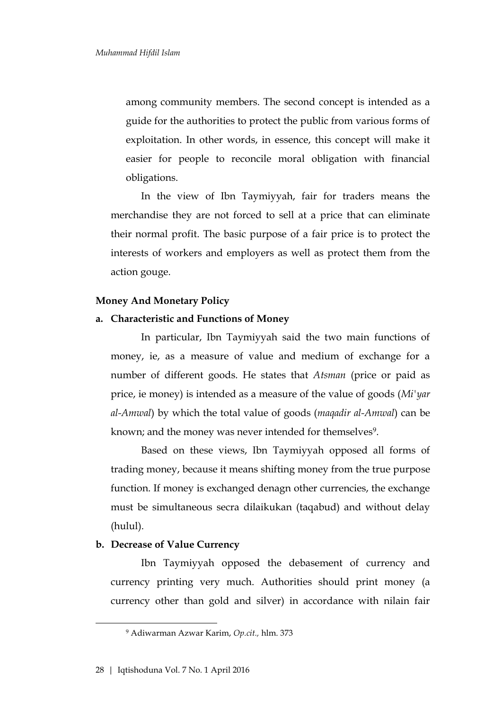among community members. The second concept is intended as a guide for the authorities to protect the public from various forms of exploitation. In other words, in essence, this concept will make it easier for people to reconcile moral obligation with financial obligations.

In the view of Ibn Taymiyyah, fair for traders means the merchandise they are not forced to sell at a price that can eliminate their normal profit. The basic purpose of a fair price is to protect the interests of workers and employers as well as protect them from the action gouge.

#### **Money And Monetary Policy**

#### **a. Characteristic and Functions of Money**

In particular, Ibn Taymiyyah said the two main functions of money, ie, as a measure of value and medium of exchange for a number of different goods. He states that *Atsman* (price or paid as price, ie money) is intended as a measure of the value of goods (*Mi'yar al-Amwal*) by which the total value of goods (*maqadir al-Amwal*) can be known; and the money was never intended for themselves<sup>9</sup>.

Based on these views, Ibn Taymiyyah opposed all forms of trading money, because it means shifting money from the true purpose function. If money is exchanged denagn other currencies, the exchange must be simultaneous secra dilaikukan (taqabud) and without delay (hulul).

#### **b. Decrease of Value Currency**

Ibn Taymiyyah opposed the debasement of currency and currency printing very much. Authorities should print money (a currency other than gold and silver) in accordance with nilain fair

<sup>9</sup> Adiwarman Azwar Karim, *Op.cit.,* hlm. 373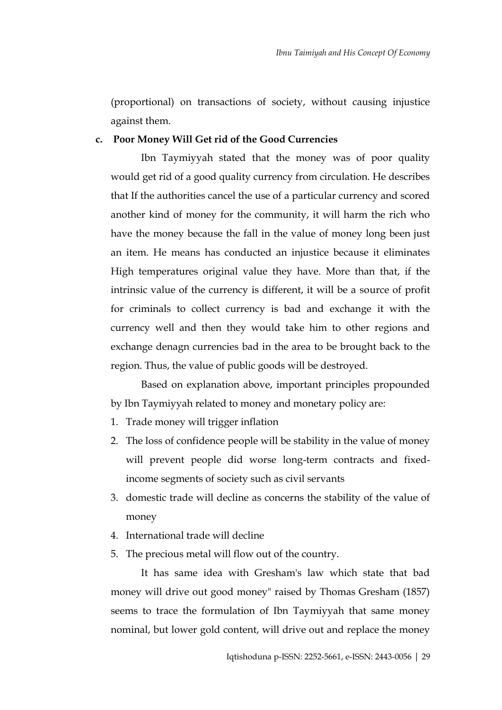(proportional) on transactions of society, without causing injustice against them.

## **c. Poor Money Will Get rid of the Good Currencies**

Ibn Taymiyyah stated that the money was of poor quality would get rid of a good quality currency from circulation. He describes that If the authorities cancel the use of a particular currency and scored another kind of money for the community, it will harm the rich who have the money because the fall in the value of money long been just an item. He means has conducted an injustice because it eliminates High temperatures original value they have. More than that, if the intrinsic value of the currency is different, it will be a source of profit for criminals to collect currency is bad and exchange it with the currency well and then they would take him to other regions and exchange denagn currencies bad in the area to be brought back to the region. Thus, the value of public goods will be destroyed.

Based on explanation above, important principles propounded by Ibn Taymiyyah related to money and monetary policy are:

- 1. Trade money will trigger inflation
- 2. The loss of confidence people will be stability in the value of money will prevent people did worse long-term contracts and fixedincome segments of society such as civil servants
- 3. domestic trade will decline as concerns the stability of the value of money
- 4. International trade will decline
- 5. The precious metal will flow out of the country.

It has same idea with Gresham's law which state that bad money will drive out good money" raised by Thomas Gresham (1857) seems to trace the formulation of Ibn Taymiyyah that same money nominal, but lower gold content, will drive out and replace the money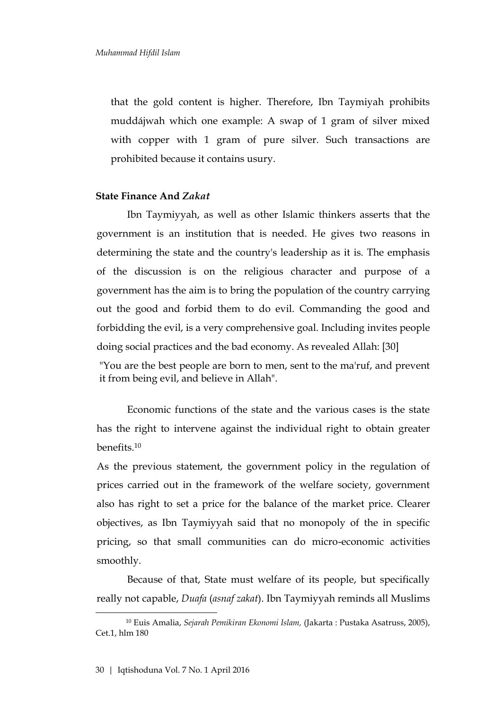that the gold content is higher. Therefore, Ibn Taymiyah prohibits muddájwah which one example: A swap of 1 gram of silver mixed with copper with 1 gram of pure silver. Such transactions are prohibited because it contains usury.

#### **State Finance And** *Zakat*

Ibn Taymiyyah, as well as other Islamic thinkers asserts that the government is an institution that is needed. He gives two reasons in determining the state and the country's leadership as it is. The emphasis of the discussion is on the religious character and purpose of a government has the aim is to bring the population of the country carrying out the good and forbid them to do evil. Commanding the good and forbidding the evil, is a very comprehensive goal. Including invites people doing social practices and the bad economy. As revealed Allah: [30]

"You are the best people are born to men, sent to the ma'ruf, and prevent it from being evil, and believe in Allah".

Economic functions of the state and the various cases is the state has the right to intervene against the individual right to obtain greater benefits.<sup>10</sup>

As the previous statement, the government policy in the regulation of prices carried out in the framework of the welfare society, government also has right to set a price for the balance of the market price. Clearer objectives, as Ibn Taymiyyah said that no monopoly of the in specific pricing, so that small communities can do micro-economic activities smoothly.

Because of that, State must welfare of its people, but specifically really not capable, *Duafa* (*asnaf zakat*). Ibn Taymiyyah reminds all Muslims

<sup>10</sup> Euis Amalia, *Sejarah Pemikiran Ekonomi Islam,* (Jakarta : Pustaka Asatruss, 2005), Cet.1, hlm 180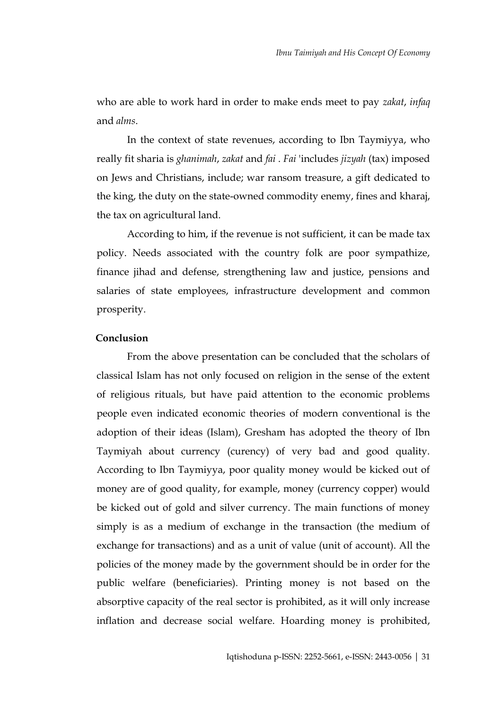who are able to work hard in order to make ends meet to pay *zakat*, *infaq* and *alms*.

In the context of state revenues, according to Ibn Taymiyya, who really fit sharia is *ghanimah*, *zakat* and *fai* . *Fai* 'includes *jizyah* (tax) imposed on Jews and Christians, include; war ransom treasure, a gift dedicated to the king, the duty on the state-owned commodity enemy, fines and kharaj, the tax on agricultural land.

According to him, if the revenue is not sufficient, it can be made tax policy. Needs associated with the country folk are poor sympathize, finance jihad and defense, strengthening law and justice, pensions and salaries of state employees, infrastructure development and common prosperity.

#### **Conclusion**

From the above presentation can be concluded that the scholars of classical Islam has not only focused on religion in the sense of the extent of religious rituals, but have paid attention to the economic problems people even indicated economic theories of modern conventional is the adoption of their ideas (Islam), Gresham has adopted the theory of Ibn Taymiyah about currency (curency) of very bad and good quality. According to Ibn Taymiyya, poor quality money would be kicked out of money are of good quality, for example, money (currency copper) would be kicked out of gold and silver currency. The main functions of money simply is as a medium of exchange in the transaction (the medium of exchange for transactions) and as a unit of value (unit of account). All the policies of the money made by the government should be in order for the public welfare (beneficiaries). Printing money is not based on the absorptive capacity of the real sector is prohibited, as it will only increase inflation and decrease social welfare. Hoarding money is prohibited,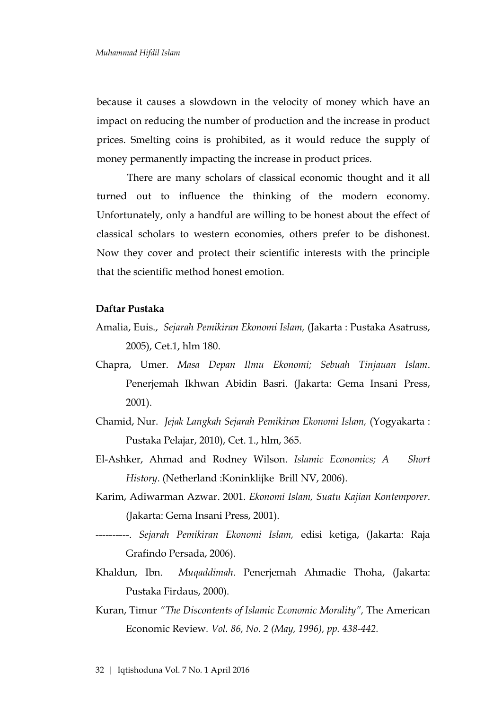because it causes a slowdown in the velocity of money which have an impact on reducing the number of production and the increase in product prices. Smelting coins is prohibited, as it would reduce the supply of money permanently impacting the increase in product prices.

There are many scholars of classical economic thought and it all turned out to influence the thinking of the modern economy. Unfortunately, only a handful are willing to be honest about the effect of classical scholars to western economies, others prefer to be dishonest. Now they cover and protect their scientific interests with the principle that the scientific method honest emotion.

## **Daftar Pustaka**

- Amalia, Euis., *Sejarah Pemikiran Ekonomi Islam,* (Jakarta : Pustaka Asatruss, 2005), Cet.1, hlm 180.
- Chapra, Umer. *Masa Depan Ilmu Ekonomi; Sebuah Tinjauan Islam*. Penerjemah Ikhwan Abidin Basri. (Jakarta: Gema Insani Press, 2001).
- Chamid, Nur. *Jejak Langkah Sejarah Pemikiran Ekonomi Islam,* (Yogyakarta : Pustaka Pelajar, 2010), Cet. 1., hlm, 365.
- El-Ashker, Ahmad and Rodney Wilson. *Islamic Economics; A Short History*. (Netherland :Koninklijke Brill NV, 2006).
- Karim, Adiwarman Azwar. 2001. *Ekonomi Islam, Suatu Kajian Kontemporer*. (Jakarta: Gema Insani Press, 2001).
- ----------. *Sejarah Pemikiran Ekonomi Islam,* edisi ketiga, (Jakarta: Raja Grafindo Persada, 2006).
- Khaldun, Ibn. *Muqaddimah*. Penerjemah Ahmadie Thoha, (Jakarta: Pustaka Firdaus, 2000).
- [Kuran,](http://www.jstor.org.ezproxy.mtsu.edu/search/Results?mo=bs&Query=aa:%22Timur%20Kuran%22&hp=25&si=1) Timur *"[The Discontents of Islamic Economic Morality](http://www.jstor.org.ezproxy.mtsu.edu/view/00028282/di976333/97p04702/0?currentResult=00028282%2bdi976333%2b97p04702%2b0%2c3F&searchUrl=http%3A%2F%2Fwww.jstor.org%2Fsearch%2FResults%3FQuery%3DIslamic%2BEconomic%2Bthought%26hp%3D25%26so%3Dnull%26si%3D1%26mo%3Dbs)",* [The American](http://www.jstor.org.ezproxy.mtsu.edu/browse/00028282)  [Economic Review](http://www.jstor.org.ezproxy.mtsu.edu/browse/00028282)*. [Vol. 86, No. 2](http://www.jstor.org.ezproxy.mtsu.edu/browse/00028282/di976333) (May, 1996), pp. 438-442.*